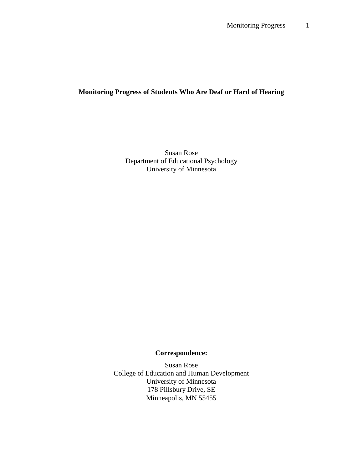## **Monitoring Progress of Students Who Are Deaf or Hard of Hearing**

Susan Rose Department of Educational Psychology University of Minnesota

# **Correspondence:**

Susan Rose College of Education and Human Development University of Minnesota 178 Pillsbury Drive, SE Minneapolis, MN 55455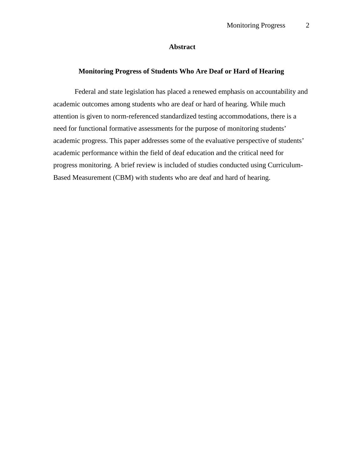### **Abstract**

#### **Monitoring Progress of Students Who Are Deaf or Hard of Hearing**

 Federal and state legislation has placed a renewed emphasis on accountability and academic outcomes among students who are deaf or hard of hearing. While much attention is given to norm-referenced standardized testing accommodations, there is a need for functional formative assessments for the purpose of monitoring students' academic progress. This paper addresses some of the evaluative perspective of students' academic performance within the field of deaf education and the critical need for progress monitoring. A brief review is included of studies conducted using Curriculum-Based Measurement (CBM) with students who are deaf and hard of hearing.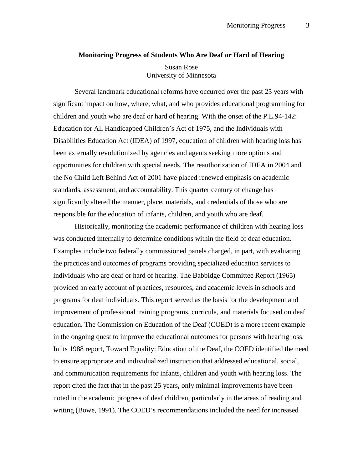#### **Monitoring Progress of Students Who Are Deaf or Hard of Hearing**

Susan Rose University of Minnesota

 Several landmark educational reforms have occurred over the past 25 years with significant impact on how, where, what, and who provides educational programming for children and youth who are deaf or hard of hearing. With the onset of the P.L.94-142: Education for All Handicapped Children's Act of 1975, and the Individuals with Disabilities Education Act (IDEA) of 1997, education of children with hearing loss has been externally revolutionized by agencies and agents seeking more options and opportunities for children with special needs. The reauthorization of IDEA in 2004 and the No Child Left Behind Act of 2001 have placed renewed emphasis on academic standards, assessment, and accountability. This quarter century of change has significantly altered the manner, place, materials, and credentials of those who are responsible for the education of infants, children, and youth who are deaf.

Historically, monitoring the academic performance of children with hearing loss was conducted internally to determine conditions within the field of deaf education. Examples include two federally commissioned panels charged, in part, with evaluating the practices and outcomes of programs providing specialized education services to individuals who are deaf or hard of hearing. The Babbidge Committee Report (1965) provided an early account of practices, resources, and academic levels in schools and programs for deaf individuals. This report served as the basis for the development and improvement of professional training programs, curricula, and materials focused on deaf education. The Commission on Education of the Deaf (COED) is a more recent example in the ongoing quest to improve the educational outcomes for persons with hearing loss. In its 1988 report, Toward Equality: Education of the Deaf, the COED identified the need to ensure appropriate and individualized instruction that addressed educational, social, and communication requirements for infants, children and youth with hearing loss. The report cited the fact that in the past 25 years, only minimal improvements have been noted in the academic progress of deaf children, particularly in the areas of reading and writing (Bowe, 1991). The COED's recommendations included the need for increased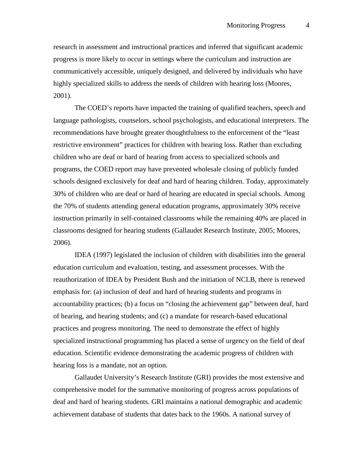research in assessment and instructional practices and inferred that significant academic progress is more likely to occur in settings where the curriculum and instruction are communicatively accessible, uniquely designed, and delivered by individuals who have highly specialized skills to address the needs of children with hearing loss (Moores, 2001).

The COED's reports have impacted the training of qualified teachers, speech and language pathologists, counselors, school psychologists, and educational interpreters. The recommendations have brought greater thoughtfulness to the enforcement of the "least restrictive environment" practices for children with hearing loss. Rather than excluding children who are deaf or hard of hearing from access to specialized schools and programs, the COED report may have prevented wholesale closing of publicly funded schools designed exclusively for deaf and hard of hearing children. Today, approximately 30% of children who are deaf or hard of hearing are educated in special schools. Among the 70% of students attending general education programs, approximately 30% receive instruction primarily in self-contained classrooms while the remaining 40% are placed in classrooms designed for hearing students (Gallaudet Research Institute, 2005; Moores, 2006).

IDEA (1997) legislated the inclusion of children with disabilities into the general education curriculum and evaluation, testing, and assessment processes. With the reauthorization of IDEA by President Bush and the initiation of NCLB, there is renewed emphasis for: (a) inclusion of deaf and hard of hearing students and programs in accountability practices; (b) a focus on "closing the achievement gap" between deaf, hard of hearing, and hearing students; and (c) a mandate for research-based educational practices and progress monitoring. The need to demonstrate the effect of highly specialized instructional programming has placed a sense of urgency on the field of deaf education. Scientific evidence demonstrating the academic progress of children with hearing loss is a mandate, not an option.

Gallaudet University's Research Institute (GRI) provides the most extensive and comprehensive model for the summative monitoring of progress across populations of deaf and hard of hearing students. GRI maintains a national demographic and academic achievement database of students that dates back to the 1960s. A national survey of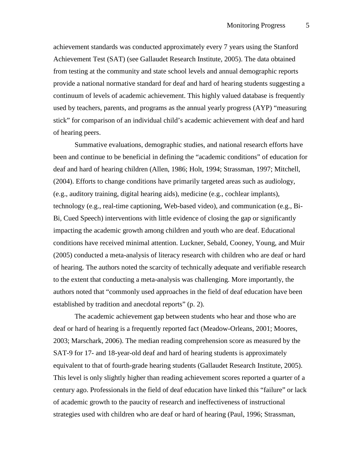achievement standards was conducted approximately every 7 years using the Stanford Achievement Test (SAT) (see Gallaudet Research Institute, 2005). The data obtained from testing at the community and state school levels and annual demographic reports provide a national normative standard for deaf and hard of hearing students suggesting a continuum of levels of academic achievement. This highly valued database is frequently used by teachers, parents, and programs as the annual yearly progress (AYP) "measuring stick" for comparison of an individual child's academic achievement with deaf and hard of hearing peers.

Summative evaluations, demographic studies, and national research efforts have been and continue to be beneficial in defining the "academic conditions" of education for deaf and hard of hearing children (Allen, 1986; Holt, 1994; Strassman, 1997; Mitchell, (2004). Efforts to change conditions have primarily targeted areas such as audiology, (e.g., auditory training, digital hearing aids), medicine (e.g., cochlear implants), technology (e.g., real-time captioning, Web-based video), and communication (e.g., Bi-Bi, Cued Speech) interventions with little evidence of closing the gap or significantly impacting the academic growth among children and youth who are deaf. Educational conditions have received minimal attention. Luckner, Sebald, Cooney, Young, and Muir (2005) conducted a meta-analysis of literacy research with children who are deaf or hard of hearing. The authors noted the scarcity of technically adequate and verifiable research to the extent that conducting a meta-analysis was challenging. More importantly, the authors noted that "commonly used approaches in the field of deaf education have been established by tradition and anecdotal reports" (p. 2).

The academic achievement gap between students who hear and those who are deaf or hard of hearing is a frequently reported fact (Meadow-Orleans, 2001; Moores, 2003; Marschark, 2006). The median reading comprehension score as measured by the SAT-9 for 17- and 18-year-old deaf and hard of hearing students is approximately equivalent to that of fourth-grade hearing students (Gallaudet Research Institute, 2005). This level is only slightly higher than reading achievement scores reported a quarter of a century ago. Professionals in the field of deaf education have linked this "failure" or lack of academic growth to the paucity of research and ineffectiveness of instructional strategies used with children who are deaf or hard of hearing (Paul, 1996; Strassman,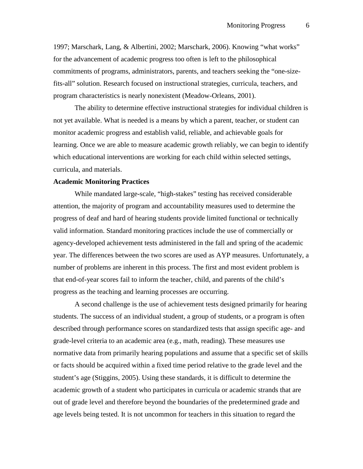1997; Marschark, Lang, & Albertini, 2002; Marschark, 2006). Knowing "what works" for the advancement of academic progress too often is left to the philosophical commitments of programs, administrators, parents, and teachers seeking the "one-sizefits-all" solution. Research focused on instructional strategies, curricula, teachers, and program characteristics is nearly nonexistent (Meadow-Orleans, 2001).

The ability to determine effective instructional strategies for individual children is not yet available. What is needed is a means by which a parent, teacher, or student can monitor academic progress and establish valid, reliable, and achievable goals for learning. Once we are able to measure academic growth reliably, we can begin to identify which educational interventions are working for each child within selected settings, curricula, and materials.

#### **Academic Monitoring Practices**

While mandated large-scale, "high-stakes" testing has received considerable attention, the majority of program and accountability measures used to determine the progress of deaf and hard of hearing students provide limited functional or technically valid information. Standard monitoring practices include the use of commercially or agency-developed achievement tests administered in the fall and spring of the academic year. The differences between the two scores are used as AYP measures. Unfortunately, a number of problems are inherent in this process. The first and most evident problem is that end-of-year scores fail to inform the teacher, child, and parents of the child's progress as the teaching and learning processes are occurring.

A second challenge is the use of achievement tests designed primarily for hearing students. The success of an individual student, a group of students, or a program is often described through performance scores on standardized tests that assign specific age- and grade-level criteria to an academic area (e.g., math, reading). These measures use normative data from primarily hearing populations and assume that a specific set of skills or facts should be acquired within a fixed time period relative to the grade level and the student's age (Stiggins, 2005). Using these standards, it is difficult to determine the academic growth of a student who participates in curricula or academic strands that are out of grade level and therefore beyond the boundaries of the predetermined grade and age levels being tested. It is not uncommon for teachers in this situation to regard the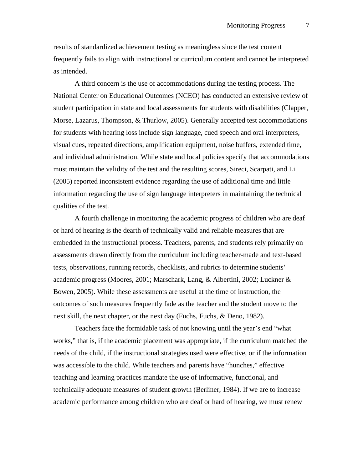results of standardized achievement testing as meaningless since the test content frequently fails to align with instructional or curriculum content and cannot be interpreted as intended.

A third concern is the use of accommodations during the testing process. The National Center on Educational Outcomes (NCEO) has conducted an extensive review of student participation in state and local assessments for students with disabilities (Clapper, Morse, Lazarus, Thompson, & Thurlow, 2005). Generally accepted test accommodations for students with hearing loss include sign language, cued speech and oral interpreters, visual cues, repeated directions, amplification equipment, noise buffers, extended time, and individual administration. While state and local policies specify that accommodations must maintain the validity of the test and the resulting scores, Sireci, Scarpati, and Li (2005) reported inconsistent evidence regarding the use of additional time and little information regarding the use of sign language interpreters in maintaining the technical qualities of the test.

A fourth challenge in monitoring the academic progress of children who are deaf or hard of hearing is the dearth of technically valid and reliable measures that are embedded in the instructional process. Teachers, parents, and students rely primarily on assessments drawn directly from the curriculum including teacher-made and text-based tests, observations, running records, checklists, and rubrics to determine students' academic progress (Moores, 2001; Marschark, Lang, & Albertini, 2002; Luckner & Bowen, 2005). While these assessments are useful at the time of instruction, the outcomes of such measures frequently fade as the teacher and the student move to the next skill, the next chapter, or the next day (Fuchs, Fuchs, & Deno, 1982).

Teachers face the formidable task of not knowing until the year's end "what works," that is, if the academic placement was appropriate, if the curriculum matched the needs of the child, if the instructional strategies used were effective, or if the information was accessible to the child. While teachers and parents have "hunches," effective teaching and learning practices mandate the use of informative, functional, and technically adequate measures of student growth (Berliner, 1984). If we are to increase academic performance among children who are deaf or hard of hearing, we must renew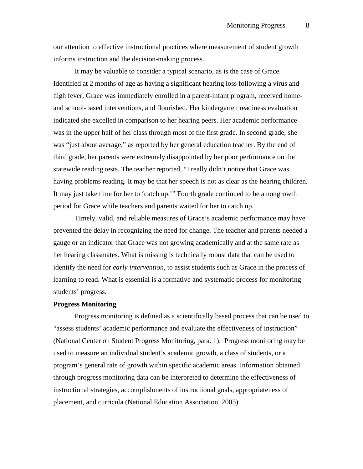our attention to effective instructional practices where measurement of student growth informs instruction and the decision-making process.

It may be valuable to consider a typical scenario, as is the case of Grace. Identified at 2 months of age as having a significant hearing loss following a virus and high fever, Grace was immediately enrolled in a parent-infant program, received homeand school-based interventions, and flourished. Her kindergarten readiness evaluation indicated she excelled in comparison to her hearing peers. Her academic performance was in the upper half of her class through most of the first grade. In second grade, she was "just about average," as reported by her general education teacher. By the end of third grade, her parents were extremely disappointed by her poor performance on the statewide reading tests. The teacher reported, "I really didn't notice that Grace was having problems reading. It may be that her speech is not as clear as the hearing children. It may just take time for her to 'catch up.'" Fourth grade continued to be a nongrowth period for Grace while teachers and parents waited for her to catch up.

Timely, valid, and reliable measures of Grace's academic performance may have prevented the delay in recognizing the need for change. The teacher and parents needed a gauge or an indicator that Grace was not growing academically and at the same rate as her hearing classmates. What is missing is technically robust data that can be used to identify the need for *early intervention,* to assist students such as Grace in the process of learning to read. What is essential is a formative and systematic process for monitoring students' progress.

#### **Progress Monitoring**

 Progress monitoring is defined as a scientifically based process that can be used to "assess students' academic performance and evaluate the effectiveness of instruction" (National Center on Student Progress Monitoring, para. 1). Progress monitoring may be used to measure an individual student's academic growth, a class of students, or a program's general rate of growth within specific academic areas. Information obtained through progress monitoring data can be interpreted to determine the effectiveness of instructional strategies, accomplishments of instructional goals, appropriateness of placement, and curricula (National Education Association, 2005).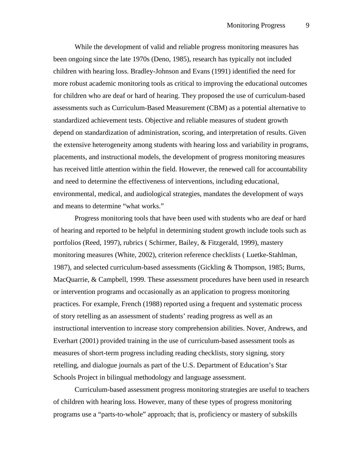While the development of valid and reliable progress monitoring measures has been ongoing since the late 1970s (Deno, 1985), research has typically not included children with hearing loss. Bradley-Johnson and Evans (1991) identified the need for more robust academic monitoring tools as critical to improving the educational outcomes for children who are deaf or hard of hearing. They proposed the use of curriculum-based assessments such as Curriculum-Based Measurement (CBM) as a potential alternative to standardized achievement tests. Objective and reliable measures of student growth depend on standardization of administration, scoring, and interpretation of results. Given the extensive heterogeneity among students with hearing loss and variability in programs, placements, and instructional models, the development of progress monitoring measures has received little attention within the field. However, the renewed call for accountability and need to determine the effectiveness of interventions, including educational, environmental, medical, and audiological strategies, mandates the development of ways and means to determine "what works."

Progress monitoring tools that have been used with students who are deaf or hard of hearing and reported to be helpful in determining student growth include tools such as portfolios (Reed, 1997), rubrics ( Schirmer, Bailey, & Fitzgerald, 1999), mastery monitoring measures (White, 2002), criterion reference checklists ( Luetke-Stahlman, 1987), and selected curriculum-based assessments (Gickling & Thompson, 1985; Burns, MacQuarrie, & Campbell, 1999. These assessment procedures have been used in research or intervention programs and occasionally as an application to progress monitoring practices. For example, French (1988) reported using a frequent and systematic process of story retelling as an assessment of students' reading progress as well as an instructional intervention to increase story comprehension abilities. Nover, Andrews, and Everhart (2001) provided training in the use of curriculum-based assessment tools as measures of short-term progress including reading checklists, story signing, story retelling, and dialogue journals as part of the U.S. Department of Education's Star Schools Project in bilingual methodology and language assessment.

Curriculum-based assessment progress monitoring strategies are useful to teachers of children with hearing loss. However, many of these types of progress monitoring programs use a "parts-to-whole" approach; that is, proficiency or mastery of subskills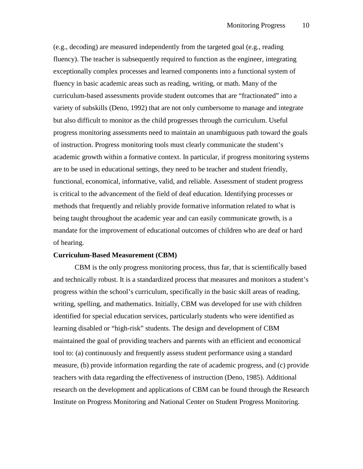(e.g., decoding) are measured independently from the targeted goal (e.g., reading fluency). The teacher is subsequently required to function as the engineer, integrating exceptionally complex processes and learned components into a functional system of fluency in basic academic areas such as reading, writing, or math. Many of the curriculum-based assessments provide student outcomes that are "fractionated" into a variety of subskills (Deno, 1992) that are not only cumbersome to manage and integrate but also difficult to monitor as the child progresses through the curriculum. Useful progress monitoring assessments need to maintain an unambiguous path toward the goals of instruction. Progress monitoring tools must clearly communicate the student's academic growth within a formative context. In particular, if progress monitoring systems are to be used in educational settings, they need to be teacher and student friendly, functional, economical, informative, valid, and reliable. Assessment of student progress is critical to the advancement of the field of deaf education. Identifying processes or methods that frequently and reliably provide formative information related to what is being taught throughout the academic year and can easily communicate growth, is a mandate for the improvement of educational outcomes of children who are deaf or hard of hearing.

#### **Curriculum-Based Measurement (CBM)**

CBM is the only progress monitoring process, thus far, that is scientifically based and technically robust. It is a standardized process that measures and monitors a student's progress within the school's curriculum, specifically in the basic skill areas of reading, writing, spelling, and mathematics. Initially, CBM was developed for use with children identified for special education services, particularly students who were identified as learning disabled or "high-risk" students. The design and development of CBM maintained the goal of providing teachers and parents with an efficient and economical tool to: (a) continuously and frequently assess student performance using a standard measure, (b) provide information regarding the rate of academic progress, and (c) provide teachers with data regarding the effectiveness of instruction (Deno, 1985). Additional research on the development and applications of CBM can be found through the Research Institute on Progress Monitoring and National Center on Student Progress Monitoring.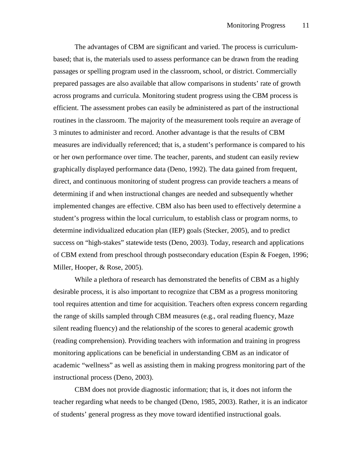The advantages of CBM are significant and varied. The process is curriculumbased; that is, the materials used to assess performance can be drawn from the reading passages or spelling program used in the classroom, school, or district. Commercially prepared passages are also available that allow comparisons in students' rate of growth across programs and curricula. Monitoring student progress using the CBM process is efficient. The assessment probes can easily be administered as part of the instructional routines in the classroom. The majority of the measurement tools require an average of 3 minutes to administer and record. Another advantage is that the results of CBM measures are individually referenced; that is, a student's performance is compared to his or her own performance over time. The teacher, parents, and student can easily review graphically displayed performance data (Deno, 1992). The data gained from frequent, direct, and continuous monitoring of student progress can provide teachers a means of determining if and when instructional changes are needed and subsequently whether implemented changes are effective. CBM also has been used to effectively determine a student's progress within the local curriculum, to establish class or program norms, to determine individualized education plan (IEP) goals (Stecker, 2005), and to predict success on "high-stakes" statewide tests (Deno, 2003). Today, research and applications of CBM extend from preschool through postsecondary education (Espin & Foegen, 1996; Miller, Hooper, & Rose, 2005).

While a plethora of research has demonstrated the benefits of CBM as a highly desirable process, it is also important to recognize that CBM as a progress monitoring tool requires attention and time for acquisition. Teachers often express concern regarding the range of skills sampled through CBM measures (e.g., oral reading fluency, Maze silent reading fluency) and the relationship of the scores to general academic growth (reading comprehension). Providing teachers with information and training in progress monitoring applications can be beneficial in understanding CBM as an indicator of academic "wellness" as well as assisting them in making progress monitoring part of the instructional process (Deno, 2003).

CBM does not provide diagnostic information; that is, it does not inform the teacher regarding what needs to be changed (Deno, 1985, 2003). Rather, it is an indicator of students' general progress as they move toward identified instructional goals.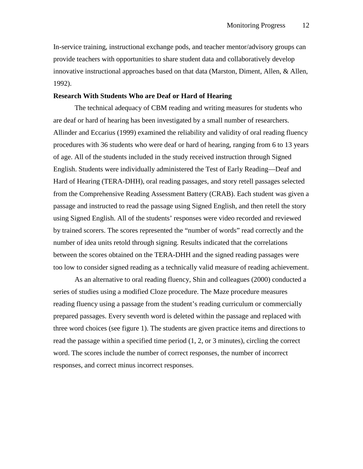In-service training, instructional exchange pods, and teacher mentor/advisory groups can provide teachers with opportunities to share student data and collaboratively develop innovative instructional approaches based on that data (Marston, Diment, Allen, & Allen, 1992).

### **Research With Students Who are Deaf or Hard of Hearing**

The technical adequacy of CBM reading and writing measures for students who are deaf or hard of hearing has been investigated by a small number of researchers. Allinder and Eccarius (1999) examined the reliability and validity of oral reading fluency procedures with 36 students who were deaf or hard of hearing, ranging from 6 to 13 years of age. All of the students included in the study received instruction through Signed English. Students were individually administered the Test of Early Reading—Deaf and Hard of Hearing (TERA-DHH), oral reading passages, and story retell passages selected from the Comprehensive Reading Assessment Battery (CRAB). Each student was given a passage and instructed to read the passage using Signed English, and then retell the story using Signed English. All of the students' responses were video recorded and reviewed by trained scorers. The scores represented the "number of words" read correctly and the number of idea units retold through signing. Results indicated that the correlations between the scores obtained on the TERA-DHH and the signed reading passages were too low to consider signed reading as a technically valid measure of reading achievement.

As an alternative to oral reading fluency, Shin and colleagues (2000) conducted a series of studies using a modified Cloze procedure. The Maze procedure measures reading fluency using a passage from the student's reading curriculum or commercially prepared passages. Every seventh word is deleted within the passage and replaced with three word choices (see figure 1). The students are given practice items and directions to read the passage within a specified time period (1, 2, or 3 minutes), circling the correct word. The scores include the number of correct responses, the number of incorrect responses, and correct minus incorrect responses.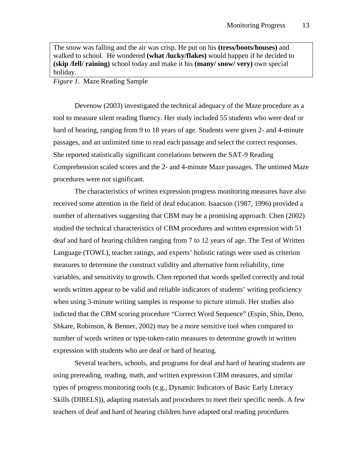The snow was falling and the air was crisp. He put on his **(tress/boots/houses)** and walked to school. He wondered **(what /lucky/flakes)** would happen if he decided to **(skip /fell/ raining)** school today and make it his **(many/ snow/ very)** own special holiday.

#### *Figure 1*. Maze Reading Sample

Devenow (2003) investigated the technical adequacy of the Maze procedure as a tool to measure silent reading fluency. Her study included 55 students who were deaf or hard of hearing, ranging from 9 to 18 years of age. Students were given 2- and 4-minute passages, and an unlimited time to read each passage and select the correct responses. She reported statistically significant correlations between the SAT-9 Reading Comprehension scaled scores and the 2- and 4-minute Maze passages. The untimed Maze procedures were not significant.

The characteristics of written expression progress monitoring measures have also received some attention in the field of deaf education. Isaacson (1987, 1996) provided a number of alternatives suggesting that CBM may be a promising approach. Chen (2002) studied the technical characteristics of CBM procedures and written expression with 51 deaf and hard of hearing children ranging from 7 to 12 years of age. The Test of Written Language (TOWL), teacher ratings, and experts' holistic ratings were used as criterion measures to determine the construct validity and alternative form reliability, time variables, and sensitivity to growth. Chen reported that words spelled correctly and total words written appear to be valid and reliable indicators of students' writing proficiency when using 3-minute writing samples in response to picture stimuli. Her studies also indicted that the CBM scoring procedure "Correct Word Sequence" (Espin, Shin, Deno, Shkare, Robinson, & Benner, 2002) may be a more sensitive tool when compared to number of words written or type-token-ratio measures to determine growth in written expression with students who are deaf or hard of hearing.

Several teachers, schools, and programs for deaf and hard of hearing students are using prereading, reading, math, and written expression CBM measures, and similar types of progress monitoring tools (e.g., Dynamic Indicators of Basic Early Literacy Skills (DIBELS)), adapting materials and procedures to meet their specific needs. A few teachers of deaf and hard of hearing children have adapted oral reading procedures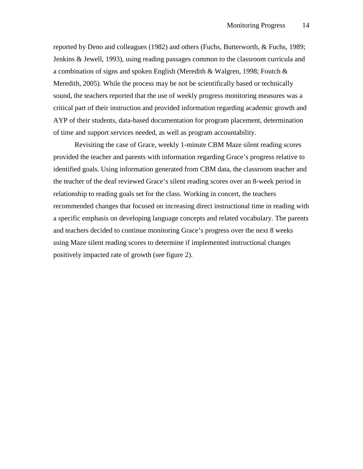reported by Deno and colleagues (1982) and others (Fuchs, Butterworth, & Fuchs, 1989; Jenkins & Jewell, 1993), using reading passages common to the classroom curricula and a combination of signs and spoken English (Meredith & Walgren, 1998; Foutch & Meredith, 2005). While the process may be not be scientifically based or technically sound, the teachers reported that the use of weekly progress monitoring measures was a critical part of their instruction and provided information regarding academic growth and AYP of their students, data-based documentation for program placement, determination of time and support services needed, as well as program accountability.

Revisiting the case of Grace, weekly 1-minute CBM Maze silent reading scores provided the teacher and parents with information regarding Grace's progress relative to identified goals. Using information generated from CBM data, the classroom teacher and the teacher of the deaf reviewed Grace's silent reading scores over an 8-week period in relationship to reading goals set for the class. Working in concert, the teachers recommended changes that focused on increasing direct instructional time in reading with a specific emphasis on developing language concepts and related vocabulary. The parents and teachers decided to continue monitoring Grace's progress over the next 8 weeks using Maze silent reading scores to determine if implemented instructional changes positively impacted rate of growth (see figure 2).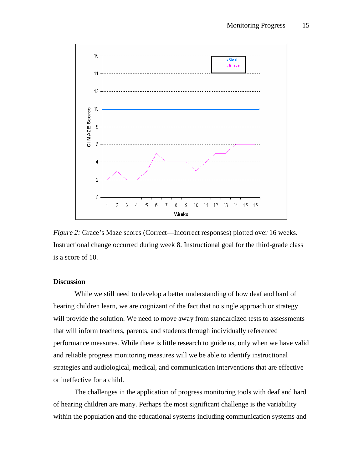

*Figure 2:* Grace's Maze scores (Correct—Incorrect responses) plotted over 16 weeks. Instructional change occurred during week 8. Instructional goal for the third-grade class is a score of 10.

## **Discussion**

While we still need to develop a better understanding of how deaf and hard of hearing children learn, we are cognizant of the fact that no single approach or strategy will provide the solution. We need to move away from standardized tests to assessments that will inform teachers, parents, and students through individually referenced performance measures. While there is little research to guide us, only when we have valid and reliable progress monitoring measures will we be able to identify instructional strategies and audiological, medical, and communication interventions that are effective or ineffective for a child.

The challenges in the application of progress monitoring tools with deaf and hard of hearing children are many. Perhaps the most significant challenge is the variability within the population and the educational systems including communication systems and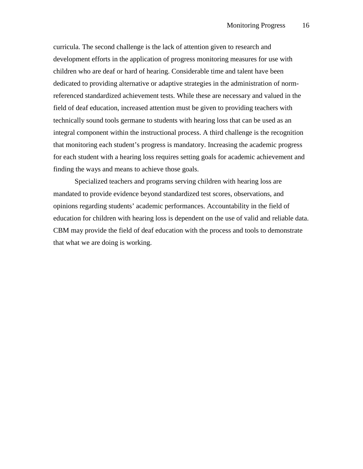curricula. The second challenge is the lack of attention given to research and development efforts in the application of progress monitoring measures for use with children who are deaf or hard of hearing. Considerable time and talent have been dedicated to providing alternative or adaptive strategies in the administration of normreferenced standardized achievement tests. While these are necessary and valued in the field of deaf education, increased attention must be given to providing teachers with technically sound tools germane to students with hearing loss that can be used as an integral component within the instructional process. A third challenge is the recognition that monitoring each student's progress is mandatory. Increasing the academic progress for each student with a hearing loss requires setting goals for academic achievement and finding the ways and means to achieve those goals.

Specialized teachers and programs serving children with hearing loss are mandated to provide evidence beyond standardized test scores, observations, and opinions regarding students' academic performances. Accountability in the field of education for children with hearing loss is dependent on the use of valid and reliable data. CBM may provide the field of deaf education with the process and tools to demonstrate that what we are doing is working.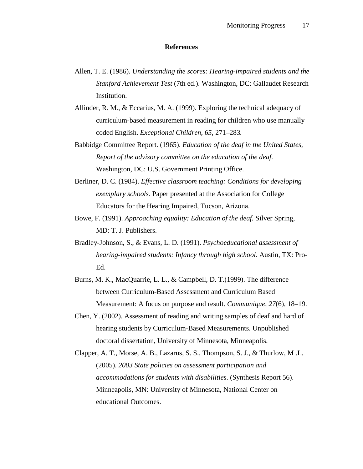### **References**

- Allen, T. E. (1986). *Understanding the scores: Hearing-impaired students and the Stanford Achievement Test* (7th ed.). Washington, DC: Gallaudet Research Institution.
- Allinder, R. M., & Eccarius, M. A. (1999). Exploring the technical adequacy of curriculum-based measurement in reading for children who use manually coded English. *Exceptional Children*, *65,* 271–283*.*
- Babbidge Committee Report. (1965). *Education of the deaf in the United States, Report of the advisory committee on the education of the deaf.* Washington, DC: U.S. Government Printing Office.
- Berliner, D. C. (1984). *Effective classroom teaching: Conditions for developing exemplary schools.* Paper presented at the Association for College Educators for the Hearing Impaired, Tucson, Arizona.
- Bowe, F. (1991). *Approaching equality: Education of the deaf.* Silver Spring, MD: T. J. Publishers.
- Bradley-Johnson, S., & Evans, L. D. (1991). *Psychoeducational assessment of hearing-impaired students: Infancy through high school.* Austin, TX: Pro-Ed.
- Burns, M. K., MacQuarrie, L. L., & Campbell, D. T.(1999). The difference between Curriculum-Based Assessment and Curriculum Based Measurement: A focus on purpose and result. *Communique, 27*(6)*,* 18–19.
- Chen, Y. (2002). Assessment of reading and writing samples of deaf and hard of hearing students by Curriculum-Based Measurements. Unpublished doctoral dissertation, University of Minnesota, Minneapolis.
- Clapper, A. T., Morse, A. B., Lazarus, S. S., Thompson, S. J., & Thurlow, M .L. (2005). *2003 State policies on assessment participation and accommodations for students with disabilities*. (Synthesis Report 56). Minneapolis, MN: University of Minnesota, National Center on educational Outcomes.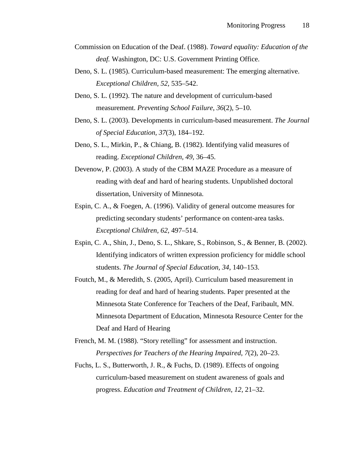- Commission on Education of the Deaf. (1988). *Toward equality: Education of the deaf.* Washington, DC: U.S. Government Printing Office.
- Deno, S. L. (1985). Curriculum-based measurement: The emerging alternative. *Exceptional Children, 52,* 535–542.
- Deno, S. L. (1992). The nature and development of curriculum-based measurement. *Preventing School Failure*, *36*(2), 5–10.
- Deno, S. L. (2003). Developments in curriculum-based measurement. *The Journal of Special Education, 37*(3), 184–192.
- Deno, S. L., Mirkin, P., & Chiang, B. (1982). Identifying valid measures of reading. *Exceptional Children, 49,* 36–45.
- Devenow, P. (2003). A study of the CBM MAZE Procedure as a measure of reading with deaf and hard of hearing students. Unpublished doctoral dissertation, University of Minnesota.
- Espin, C. A., & Foegen, A. (1996). Validity of general outcome measures for predicting secondary students' performance on content-area tasks. *Exceptional Children, 62,* 497–514.
- Espin, C. A., Shin, J., Deno, S. L., Shkare, S., Robinson, S., & Benner, B. (2002). Identifying indicators of written expression proficiency for middle school students. *The Journal of Special Education, 34,* 140–153.
- Foutch, M., & Meredith, S. (2005, April). Curriculum based measurement in reading for deaf and hard of hearing students. Paper presented at the Minnesota State Conference for Teachers of the Deaf, Faribault, MN. Minnesota Department of Education, Minnesota Resource Center for the Deaf and Hard of Hearing
- French, M. M. (1988). "Story retelling" for assessment and instruction. *Perspectives for Teachers of the Hearing Impaired*, *7*(2), 20–23.
- Fuchs, L. S., Butterworth, J. R., & Fuchs, D. (1989). Effects of ongoing curriculum-based measurement on student awareness of goals and progress. *Education and Treatment of Children*, *12*, 21–32.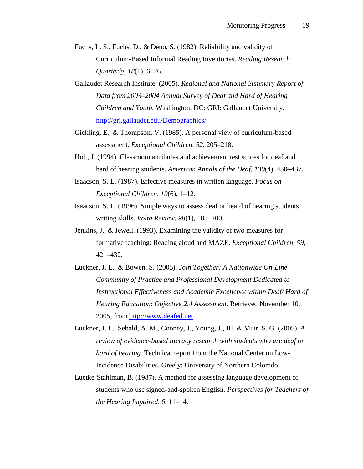- Fuchs, L. S., Fuchs, D., & Deno, S. (1982). Reliability and validity of Curriculum-Based Informal Reading Inventories. *Reading Research Quarterly*, *18*(1), 6–26.
- Gallaudet Research Institute. (2005). *Regional and National Summary Report of Data from 2003–2004 Annual Survey of Deaf and Hard of Hearing Children and Youth.* Washington, DC: GRI: Gallaudet University. http://gri.gallaudet.edu/Demographics/
- Gickling, E., & Thompson, V. (1985). A personal view of curriculum-based assessment. *Exceptional Children, 52*, 205–218.
- Holt, J. (1994). Classroom attributes and achievement test scores for deaf and hard of hearing students. *American Annals of the Deaf*, *139*(4), 430–437.
- Isaacson, S. L. (1987). Effective measures in written language. *Focus on Exceptional Children, 19*(6), 1–12.
- Isaacson, S. L. (1996). Simple ways to assess deaf or heard of hearing students' writing skills. *Volta Review, 98*(1), 183–200.
- Jenkins, J., & Jewell. (1993). Examining the validity of two measures for formative teaching: Reading aloud and MAZE. *Exceptional Children, 59*, 421–432.
- Luckner, J. L., & Bowen, S. (2005). *Join Together: A Nationwide On-Line Community of Practice and Professional Development Dedicated to Instructional Effectiveness and Academic Excellence within Deaf/ Hard of Hearing Education*: *Objective 2.4 Assessment*. Retrieved November 10, 2005, from http://www.deafed.net
- Luckner, J. L., Sebald, A. M., Cooney, J., Young, J., III, & Muir, S. G. (2005). *A review of evidence-based literacy research with students who are deaf or hard of hearing.* Technical report from the National Center on Low-Incidence Disabilities. Greely: University of Northern Colorado.
- Luetke-Stahlman, B. (1987). A method for assessing language development of students who use signed-and-spoken English*. Perspectives for Teachers of the Hearing Impaired*, *6,* 11–14.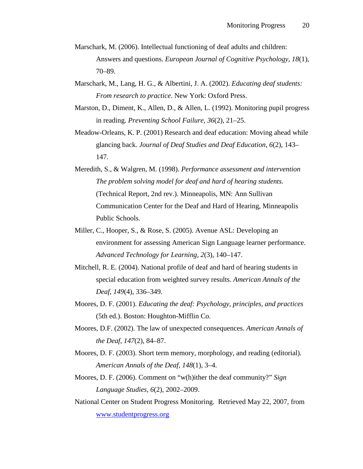- Marschark, M. (2006). Intellectual functioning of deaf adults and children: Answers and questions. *European Journal of Cognitive Psychology*, *18*(1), 70–89.
- Marschark, M., Lang, H. G., & Albertini, J. A. (2002). *Educating deaf students: From research to practice*. New York: Oxford Press.
- Marston, D., Diment, K., Allen, D., & Allen, L. (1992). Monitoring pupil progress in reading. *Preventing School Failure*, *36*(2), 21–25.
- Meadow-Orleans, K. P. (2001) Research and deaf education: Moving ahead while glancing back. *Journal of Deaf Studies and Deaf Education*, *6*(2), 143– 147.
- Meredith, S., & Walgren, M. (1998). *Performance assessment and intervention The problem solving model for deaf and hard of hearing students.* (Technical Report, 2nd rev.). Minneapolis, MN: Ann Sullivan Communication Center for the Deaf and Hard of Hearing, Minneapolis Public Schools.
- Miller, C., Hooper, S., & Rose, S. (2005). Avenue ASL: Developing an environment for assessing American Sign Language learner performance. *Advanced Technology for Learning*, *2*(3), 140–147.
- Mitchell, R. E. (2004). National profile of deaf and hard of hearing students in special education from weighted survey results. *American Annals of the Deaf*, *149*(4), 336–349.
- Moores, D. F. (2001). *Educating the deaf: Psychology, principles, and practices*  (5th ed.). Boston: Houghton-Mifflin Co.
- Moores, D.F. (2002). The law of unexpected consequences. *American Annals of the Deaf*, *147*(2), 84–87.
- Moores, D. F. (2003). Short term memory, morphology, and reading (editorial). *American Annals of the Deaf, 148*(1), 3–4.
- Moores, D. F. (2006). Comment on "w(h)ither the deaf community?" *Sign Language Studies, 6*(2), 2002–2009.
- National Center on Student Progress Monitoring. Retrieved May 22, 2007, from www.studentprogress.org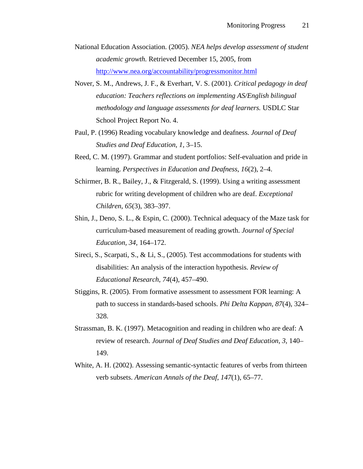- National Education Association. (2005). *NEA helps develop assessment of student academic growth.* Retrieved December 15, 2005, from http://www.nea.org/accountability/progressmonitor.html
- Nover, S. M., Andrews, J. F., & Everhart, V. S. (2001). *Critical pedagogy in deaf education: Teachers reflections on implementing AS/English bilingual methodology and language assessments for deaf learners.* USDLC Star School Project Report No. 4.
- Paul, P. (1996) Reading vocabulary knowledge and deafness. *Journal of Deaf Studies and Deaf Education*, *1,* 3–15.
- Reed, C. M. (1997). Grammar and student portfolios: Self-evaluation and pride in learning. *Perspectives in Education and Deafness*, *16*(2), 2–4.
- Schirmer, B. R., Bailey, J., & Fitzgerald, S. (1999). Using a writing assessment rubric for writing development of children who are deaf. *Exceptional Children*, *65*(3), 383–397.
- Shin, J., Deno, S. L., & Espin, C. (2000). Technical adequacy of the Maze task for curriculum-based measurement of reading growth. *Journal of Special Education, 34*, 164–172.
- Sireci, S., Scarpati, S., & Li, S., (2005). Test accommodations for students with disabilities: An analysis of the interaction hypothesis. *Review of Educational Research*, *74*(4), 457–490.
- Stiggins, R. (2005). From formative assessment to assessment FOR learning: A path to success in standards-based schools. *Phi Delta Kappan, 87*(4), 324– 328.
- Strassman, B. K. (1997). Metacognition and reading in children who are deaf: A review of research. *Journal of Deaf Studies and Deaf Education, 3,* 140– 149.
- White, A. H. (2002). Assessing semantic-syntactic features of verbs from thirteen verb subsets. *American Annals of the Deaf*, *147*(1), 65–77.